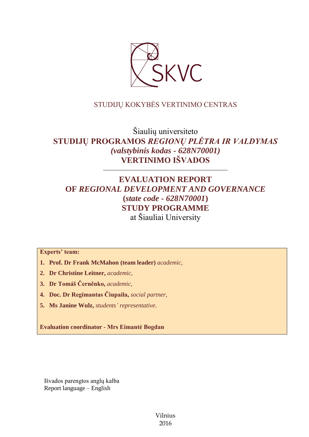

# STUDIJŲ KOKYBĖS VERTINIMO CENTRAS

Šiaulių universiteto **STUDIJŲ PROGRAMOS** *REGIONŲ PLĖTRA IR VALDYMAS (valstybinis kodas - 628N70001)* **VERTINIMO IŠVADOS**

––––––––––––––––––––––––––––––

# **EVALUATION REPORT OF** *REGIONAL DEVELOPMENT AND GOVERNANCE*  **(***state code - 628N70001***) STUDY PROGRAMME** at Šiauliai University

**Experts' team:** 

- **1. Prof. Dr Frank McMahon (team leader)** *academic,*
- **2. Dr Christine Leitner,** *academic,*
- **3. Dr Tomáš Černěnko,** *academic,*
- **4. Doc. Dr Regimantas Čiupaila,** *social partner,*
- **5. Ms Janine Wulz,** *students' representative*.

**Evaluation coordinator - Mrs Eimantė Bogdan**

Išvados parengtos anglų kalba Report language – English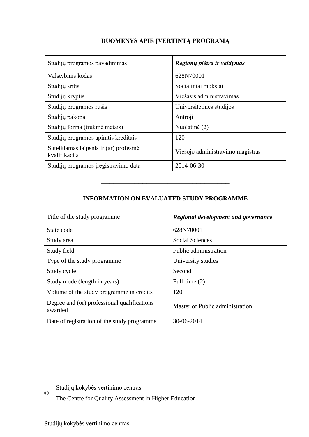# **DUOMENYS APIE ĮVERTINTĄ PROGRAMĄ**

| Studijų programos pavadinimas                           | Regionų plėtra ir valdymas       |
|---------------------------------------------------------|----------------------------------|
| Valstybinis kodas                                       | 628N70001                        |
| Studijų sritis                                          | Socialiniai mokslai              |
| Studijų kryptis                                         | Viešasis administravimas         |
| Studijų programos rūšis                                 | Universitetinės studijos         |
| Studijų pakopa                                          | Antroji                          |
| Studijų forma (trukmė metais)                           | Nuolatinė (2)                    |
| Studijų programos apimtis kreditais                     | 120                              |
| Suteikiamas laipsnis ir (ar) profesinė<br>kvalifikacija | Viešojo administravimo magistras |
| Studijų programos įregistravimo data                    | 2014-06-30                       |

# **INFORMATION ON EVALUATED STUDY PROGRAMME**

–––––––––––––––––––––––––––––––

| Title of the study programme.                          | Regional development and governance |
|--------------------------------------------------------|-------------------------------------|
| State code                                             | 628N70001                           |
| Study area                                             | <b>Social Sciences</b>              |
| Study field                                            | Public administration               |
| Type of the study programme                            | University studies                  |
| Study cycle                                            | Second                              |
| Study mode (length in years)                           | Full-time (2)                       |
| Volume of the study programme in credits               | 120                                 |
| Degree and (or) professional qualifications<br>awarded | Master of Public administration     |
| Date of registration of the study programme            | 30-06-2014                          |

© Studijų kokybės vertinimo centras

The Centre for Quality Assessment in Higher Education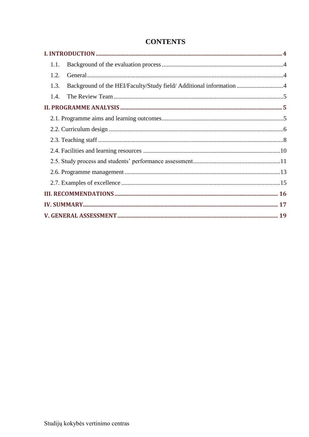| 1.1.                                                                        |  |
|-----------------------------------------------------------------------------|--|
| 1.2.                                                                        |  |
| Background of the HEI/Faculty/Study field/ Additional information 4<br>1.3. |  |
| 1.4.                                                                        |  |
|                                                                             |  |
|                                                                             |  |
|                                                                             |  |
|                                                                             |  |
|                                                                             |  |
|                                                                             |  |
|                                                                             |  |
|                                                                             |  |
|                                                                             |  |
|                                                                             |  |
|                                                                             |  |

# **CONTENTS**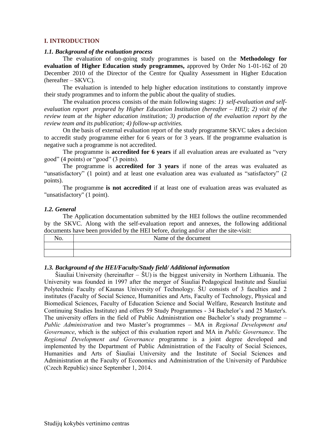#### <span id="page-3-0"></span>**I. INTRODUCTION**

#### <span id="page-3-1"></span>*1.1. Background of the evaluation process*

The evaluation of on-going study programmes is based on the **Methodology for evaluation of Higher Education study programmes,** approved by Order No 1-01-162 of 20 December 2010 of the Director of the Centre for Quality Assessment in Higher Education (hereafter – SKVC).

The evaluation is intended to help higher education institutions to constantly improve their study programmes and to inform the public about the quality of studies.

The evaluation process consists of the main following stages: *1) self-evaluation and selfevaluation report prepared by Higher Education Institution (hereafter – HEI); 2) visit of the review team at the higher education institution; 3) production of the evaluation report by the review team and its publication; 4) follow-up activities.* 

On the basis of external evaluation report of the study programme SKVC takes a decision to accredit study programme either for 6 years or for 3 years. If the programme evaluation is negative such a programme is not accredited.

The programme is **accredited for 6 years** if all evaluation areas are evaluated as "very good" (4 points) or "good" (3 points).

The programme is **accredited for 3 years** if none of the areas was evaluated as "unsatisfactory" (1 point) and at least one evaluation area was evaluated as "satisfactory" (2 points).

The programme **is not accredited** if at least one of evaluation areas was evaluated as "unsatisfactory" (1 point).

#### <span id="page-3-2"></span>*1.2. General*

The Application documentation submitted by the HEI follows the outline recommended by the SKVC. Along with the self-evaluation report and annexes, the following additional documents have been provided by the HEI before, during and/or after the site-visit:

| Name of the document |
|----------------------|
|                      |
|                      |

#### <span id="page-3-3"></span>*1.3. Background of the HEI/Faculty/Study field/ Additional information*

Šiauliai University (hereinafter – ŠU) is the biggest university in Northern Lithuania. The University was founded in 1997 after the merger of Šiauliai Pedagogical Institute and Šiauliai Polytechnic Faculty of Kaunas University of Technology. ŠU consists of 3 faculties and 2 institutes (Faculty of Social Science, Humanities and Arts, Faculty of Technology, Physical and Biomedical Sciences, Faculty of Education Science and Social Welfare, Research Institute and Continuing Studies Institute) and offers 59 Study Programmes - 34 Bachelor's and 25 Master's. The university offers in the field of Public Administration one Bachelor's study programme – *Public Administration* and two Master's programmes – MA in *Regional Development and Governance*, which is the subject of this evaluation report and MA in *Public Governance*. The *Regional Development and Governance* programme is a joint degree developed and implemented by the Department of Public Administration of the Faculty of Social Sciences, Humanities and Arts of Šiauliai University and the Institute of Social Sciences and Administration at the Faculty of Economics and Administration of the University of Pardubice (Czech Republic) since September 1, 2014.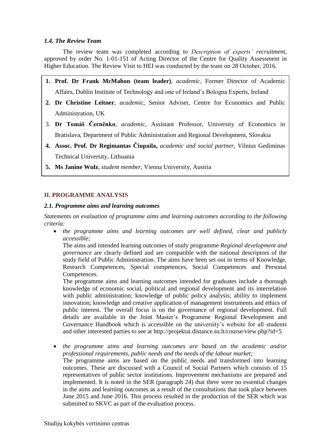### <span id="page-4-0"></span>*1.4. The Review Team*

The review team was completed according to *Description of experts' recruitment*, approved by order No. 1-01-151 of Acting Director of the Centre for Quality Assessment in Higher Education. The Review Visit to HEI was conducted by the team on 28 October, 2016*.*

- **1. Prof. Dr Frank McMahon (team leader)**, *academic,* Former Director of Academic Affairs, Dublin Institute of Technology and one of Ireland's Bologna Experts, Ireland
- **2. Dr Christine Leitner**, *academic,* Senior Adviser, Centre for Economics and Public Administration, UK
- 3. **Dr Tomáš Černěnko**, *academic*, Assistant Professor, University of Economics in Bratislava, Department of Public Administration and Regional Development, Slovakia
- **4. Assoc. Prof. Dr Regimantas Čiupaila,** *academic and social partner,* Vilnius Gediminas Technical University, Lithuania
- **5. Ms Janine Wulz**, *student member*, Vienna University, Austria

## <span id="page-4-1"></span>**II. PROGRAMME ANALYSIS**

#### <span id="page-4-2"></span>*2.1. Programme aims and learning outcomes*

*Statements on evaluation of programme aims and learning outcomes according to the following criteria:*

 *the programme aims and learning outcomes are well defined, clear and publicly accessible;*

The aims and intended learning outcomes of study programme *Regional development and governance* are clearly defined and are compatible with the national descriptors of the study field of Public Administration. The aims have been set out in terms of Knowledge, Research Competences, Special competences, Social Competences and Personal Competences.

The programme aims and learning outcomes intended for graduates include a thorough knowledge of economic social, political and regional development and its interrelation with public administration; knowledge of public policy analysis; ability to implement innovation; knowledge and creative application of management instruments and ethics of public interest. The overall focus is on the governance of regional development. Full details are available in the Joint Master's Programme Regional Development and Governance Handbook which is accessible on the university's website for all students and other interested parties to see at http://projektai.distance.su.lt/course/view.php?id=5

 *the programme aims and learning outcomes are based on the academic and/or professional requirements, public needs and the needs of the labour market;* The programme aims are based on the public needs and transformed into learning outcomes. These are discussed with a Council of Social Partners which consists of 15 representatives of public sector institutions. Improvement mechanisms are prepared and implemented. It is noted in the SER (paragraph 24) that there were no essential changes in the aims and learning outcomes as a result of the consultations that took place between June 2015 and June 2016. This process resulted in the production of the SER which was submitted to SKVC as part of the evaluation process.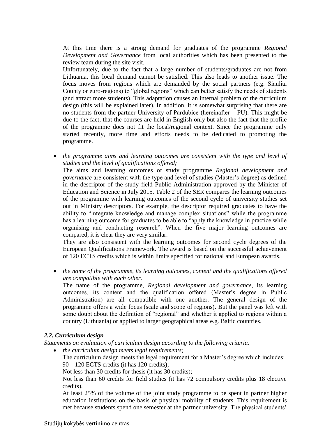At this time there is a strong demand for graduates of the programme *Regional Development and Governance* from local authorities which has been presented to the review team during the site visit.

Unfortunately, due to the fact that a large number of students/graduates are not from Lithuania, this local demand cannot be satisfied. This also leads to another issue. The focus moves from regions which are demanded by the social partners (e.g. Šiauliai County or euro-regions) to "global regions" which can better satisfy the needs of students (and attract more students). This adaptation causes an internal problem of the curriculum design (this will be explained later). In addition, it is somewhat surprising that there are no students from the partner University of Pardubice (hereinafter – PU). This might be due to the fact, that the courses are held in English only but also the fact that the profile of the programme does not fit the local/regional context. Since the programme only started recently, more time and efforts needs to be dedicated to promoting the programme.

 *the programme aims and learning outcomes are consistent with the type and level of studies and the level of qualifications offered;*

The aims and learning outcomes of study programme *Regional development and governance* are consistent with the type and level of studies (Master's degree) as defined in the descriptor of the study field Public Administration approved by the Minister of Education and Science in July 2015. Table 2 of the SER compares the learning outcomes of the programme with learning outcomes of the second cycle of university studies set out in Ministry descriptors. For example, the descriptor required graduates to have the ability to "integrate knowledge and manage complex situations" while the programme has a learning outcome for graduates to be able to "apply the knowledge in practice while organising and conducting research". When the five major learning outcomes are compared, it is clear they are very similar.

They are also consistent with the learning outcomes for second cycle degrees of the European Qualifications Framework. The award is based on the successful achievement of 120 ECTS credits which is within limits specified for national and European awards.

 *the name of the programme, its learning outcomes, content and the qualifications offered are compatible with each other.*

The name of the programme, *Regional development and governance*, its learning outcomes, its content and the qualification offered (Master's degree in Public Administration) are all compatible with one another. The general design of the programme offers a wide focus (scale and scope of regions). But the panel was left with some doubt about the definition of "regional" and whether it applied to regions within a country (Lithuania) or applied to larger geographical areas e.g. Baltic countries.

#### <span id="page-5-0"></span>*2.2. Curriculum design*

*Statements on evaluation of curriculum design according to the following criteria:*

*the curriculum design meets legal requirements;*

The curriculum design meets the legal requirement for a Master's degree which includes: 90 – 120 ECTS credits (it has 120 credits);

Not less than 30 credits for thesis (it has 30 credits);

Not less than 60 credits for field studies (it has 72 compulsory credits plus 18 elective credits).

At least 25% of the volume of the joint study programme to be spent in partner higher education institutions on the basis of physical mobility of students. This requirement is met because students spend one semester at the partner university. The physical students'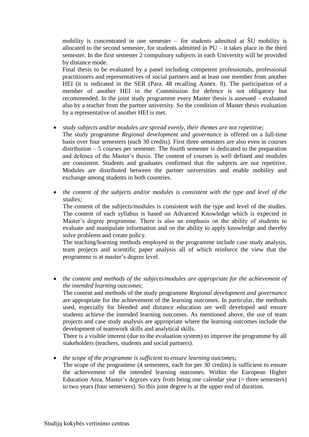mobility is concentrated in one semester – for students admitted at ŠU mobility is allocated to the second semester, for students admitted in PU – it takes place in the third semester. In the first semester 2 compulsory subjects in each University will be provided by distance mode.

Final thesis to be evaluated by a panel including competent professionals, professional practitioners and representatives of social partners and at least one member from another HEI (it is indicated in the SER (Para. 48 recalling Annex. 8). The participation of a member of another HEI in the Commission for defence is not obligatory but recommended. In the joint study programme every Master thesis is assessed – evaluated also by a teacher from the partner university. So the condition of Master thesis evaluation by a representative of another HEI is met.

#### *study subjects and/or modules are spread evenly, their themes are not repetitive;*

The study programme *Regional development and governance* is offered on a full-time basis over four semesters (each 30 credits). First three semesters are also even in courses distribution – 5 courses per semester. The fourth semester is dedicated to the preparation and defence of the Master's thesis. The content of courses is well defined and modules are consistent. Students and graduates confirmed that the subjects are not repetitive. Modules are distributed between the partner universities and enable mobility and exchange among students in both countries.

 *the content of the subjects and/or modules is consistent with the type and level of the studies;*

The content of the subjects/modules is consistent with the type and level of the studies. The content of each syllabus is based on Advanced Knowledge which is expected in Master's degree programme. There is also an emphasis on the ability of students to evaluate and manipulate information and on the ability to apply knowledge and thereby solve problems and create policy.

The teaching/learning methods employed in the programme include case study analysis, team projects and scientific paper analysis all of which reinforce the view that the programme is at master's degree level.

 *the content and methods of the subjects/modules are appropriate for the achievement of the intended learning outcomes;*

The content and methods of the study programme *Regional development and governance*  are appropriate for the achievement of the learning outcomes. In particular, the methods used, especially for blended and distance education are well developed and ensure students achieve the intended learning outcomes. As mentioned above, the use of team projects and case study analysis are appropriate where the learning outcomes include the development of teamwork skills and analytical skills.

There is a visible interest (due to the evaluation system) to improve the programme by all stakeholders (teachers, students and social partners).

*the scope of the programme is sufficient to ensure learning outcomes;*

The scope of the programme (4 semesters, each for per 30 credits) is sufficient to ensure the achievement of the intended learning outcomes. Within the European Higher Education Area, Master's degrees vary from being one calendar year (= three semesters) to two years (four semesters). So this joint degree is at the upper end of duration.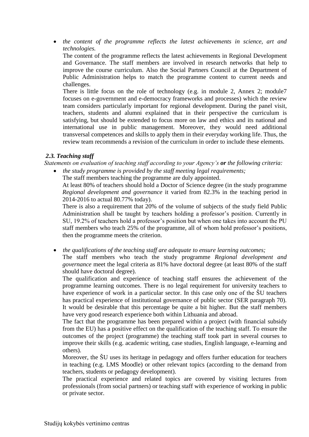*the content of the programme reflects the latest achievements in science, art and technologies.*

The content of the programme reflects the latest achievements in Regional Development and Governance. The staff members are involved in research networks that help to improve the course curriculum. Also the Social Partners Council at the Department of Public Administration helps to match the programme content to current needs and challenges.

There is little focus on the role of technology (e.g. in module 2, Annex 2; module7 focuses on e-government and e-democracy frameworks and processes) which the review team considers particularly important for regional development. During the panel visit, teachers, students and alumni explained that in their perspective the curriculum is satisfying, but should be extended to focus more on law and ethics and its national and international use in public management. Moreover, they would need additional transversal competences and skills to apply them in their everyday working life. Thus, the review team recommends a revision of the curriculum in order to include these elements.

#### <span id="page-7-0"></span>*2.3. Teaching staff*

*Statements on evaluation of teaching staff according to your Agency's or the following criteria:*

- *the study programme is provided by the staff meeting legal requirements;*
	- The staff members teaching the programme are duly appointed.

At least 80% of teachers should hold a Doctor of Science degree (in the study programme *Regional development and governance* it varied from 82.3% in the teaching period in 2014-2016 to actual 80.77% today).

There is also a requirement that 20% of the volume of subjects of the study field Public Administration shall be taught by teachers holding a professor's position. Currently in SU, 19.2% of teachers hold a professor's position but when one takes into account the PU staff members who teach 25% of the programme, all of whom hold professor's positions, then the programme meets the criterion.

*the qualifications of the teaching staff are adequate to ensure learning outcomes;*

The staff members who teach the study programme *Regional development and governance* meet the legal criteria as 81% have doctoral degree (at least 80% of the staff should have doctoral degree).

The qualification and experience of teaching staff ensures the achievement of the programme learning outcomes. There is no legal requirement for university teachers to have experience of work in a particular sector. In this case only one of the ŠU teachers has practical experience of institutional governance of public sector (SER paragraph 70). It would be desirable that this percentage be quite a bit higher. But the staff members have very good research experience both within Lithuania and abroad.

The fact that the programme has been prepared within a project (with financial subsidy from the EU) has a positive effect on the qualification of the teaching staff. To ensure the outcomes of the project (programme) the teaching staff took part in several courses to improve their skills (e.g. academic writing, case studies, English language, e-learning and others).

Moreover, the ŠU uses its heritage in pedagogy and offers further education for teachers in teaching (e.g. LMS Moodle) or other relevant topics (according to the demand from teachers, students or pedagogy development).

The practical experience and related topics are covered by visiting lectures from professionals (from social partners) or teaching staff with experience of working in public or private sector.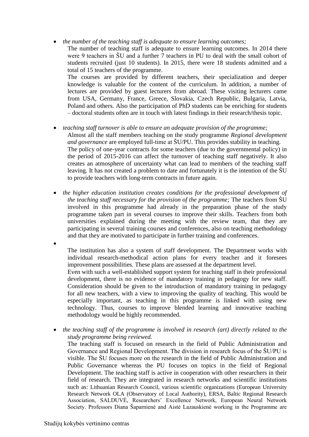- *the number of the teaching staff is adequate to ensure learning outcomes;* The number of teaching staff is adequate to ensure learning outcomes. In 2014 there were 9 teachers in  $\text{SU}$  and a further 7 teachers in PU to deal with the small cohort of students recruited (just 10 students). In 2015, there were 18 students admitted and a total of 15 teachers of the programme. The courses are provided by different teachers, their specialization and deeper knowledge is valuable for the content of the curriculum. In addition, a number of lectures are provided by guest lecturers from abroad. These visiting lecturers came from USA, Germany, France, Greece, Slovakia, Czech Republic, Bulgaria, Latvia, Poland and others. Also the participation of PhD students can be enriching for students – doctoral students often are in touch with latest findings in their research/thesis topic.
- *teaching staff turnover is able to ensure an adequate provision of the programme;* Almost all the staff members teaching on the study programme *Regional development and governance* are employed full-time at ŠU/PU. This provides stability in teaching. The policy of one-year contracts for some teachers (due to the governmental policy) in the period of 2015-2016 can affect the turnover of teaching staff negatively. It also creates an atmosphere of uncertainty what can lead to members of the teaching staff leaving. It has not created a problem to date and fortunately it is the intention of the ŠU to provide teachers with long-term contracts in future again.
- *the higher education institution creates conditions for the professional development of the teaching staff necessary for the provision of the programme;* The teachers from ŠU involved in this programme had already in the preparation phase of the study programme taken part in several courses to improve their skills. Teachers from both universities explained during the meeting with the review team, that they are participating in several training courses and conferences, also on teaching methodology and that they are motivated to participate in further training and conferences.

 $\bullet$ 

The institution has also a system of staff development. The Department works with individual research-methodical action plans for every teacher and it foresees improvement possibilities. These plans are assessed at the department level.

Even with such a well-established support system for teaching staff in their professional development, there is no evidence of mandatory training in pedagogy for new staff. Consideration should be given to the introduction of mandatory training in pedagogy for all new teachers, with a view to improving the quality of teaching. This would be especially important, as teaching in this programme is linked with using new technology. Thus, courses to improve blended learning and innovative teaching methodology would be highly recommended.

 *the teaching staff of the programme is involved in research (art) directly related to the study programme being reviewed.*

The teaching staff is focused on research in the field of Public Administration and Governance and Regional Development. The division in research focus of the ŠU/PU is visible. The ŠU focuses more on the research in the field of Public Administration and Public Governance whereas the PU focuses on topics in the field of Regional Development. The teaching staff is active in cooperation with other researchers in their field of research. They are integrated in research networks and scientific institutions such as: Lithuanian Research Council, various scientific organizations (European University Research Network OLA (Observatory of Local Authority), ERSA, Baltic Regional Research Association, SALDUVĖ, Researchers' Excellence Network, European Neural Network Society. Professors Diana Šaparnienė and Aistė Lazauskienė working in the Programme are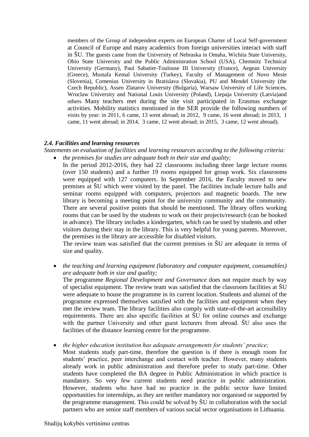members of the Group of independent experts on European Charter of Local Self-government at Council of Europe and many academics from foreign universities interact with staff in ŠU. The guests came from the University of Nebraska in Omaha, Wichita State University, Ohio State University and the Public Administration School (USA), Chemnitz Technical University (Germany), Paul Sabatier-Toulouse III University (France), Aegean University (Greece), Mustafa Kemal University (Turkey), Faculty of Management of Novo Meste (Slovenia), Comenius University in Bratislava (Slovakia), PU and Mendel University (the Czech Republic), Assen Zlatarov University (Bulgaria), Warsaw University of Life Sciences, Wroclaw University and National Louis University (Poland), Liepaja University (Latvia)and others Many teachers met during the site visit participated in Erasmus exchange activities. Mobility statistics mentioned in the SER provide the following numbers of visits by year: in 2011, 6 came, 13 went abroad; in 2012, 9 came, 16 went abroad; in 2013, 1 came, 11 went abroad; in 2014, 3 came, 12 went abroad; in 2015, 3 came, 12 went abroad).

#### <span id="page-9-0"></span>*2.4. Facilities and learning resources*

*Statements on evaluation of facilities and learning resources according to the following criteria: the premises for studies are adequate both in their size and quality;*

In the period 2012-2016, they had 22 classrooms including three large lecture rooms (over 150 students) and a further 19 rooms equipped for group work. Six classrooms were equipped with 127 computers. In September 2016, the Faculty moved to new premises at ŠU which were visited by the panel. The facilities include lecture halls and seminar rooms equipped with computers, projectors and magnetic boards. The new library is becoming a meeting point for the university community and the community. There are several positive points that should be mentioned. The library offers working rooms that can be used by the students to work on their projects/research (can be booked in advance). The library includes a kindergarten, which can be used by students and other visitors during their stay in the library. This is very helpful for young parents. Moreover, the premises in the library are accessible for disabled visitors.

The review team was satisfied that the current premises in ŠU are adequate in terms of size and quality.

 *the teaching and learning equipment (laboratory and computer equipment, consumables) are adequate both in size and quality;*

The programme *Regional Development and Governance* does not require much by way of specialist equipment. The review team was satisfied that the classroom facilities at ŠU were adequate to house the programme in its current location. Students and alumni of the programme expressed themselves satisfied with the facilities and equipment when they met the review team. The library facilities also comply with state-of-the-art accessibility requirements. There are also specific facilities at ŠU for online courses and exchange with the partner University and other guest lecturers from abroad. ŠU also uses the facilities of the distance learning centre for the programme.

*the higher education institution has adequate arrangements for students' practice;*

Most students study part-time, therefore the question is if there is enough room for students' practice, peer interchange and contact with teacher. However, many students already work in public administration and therefore prefer to study part-time. Other students have completed the BA degree in Public Administration in which practice is mandatory. So very few current students need practice in public administration. However, students who have had no practice in the public sector have limited opportunities for internships, as they are neither mandatory nor organised or supported by the programme management. This could be solved by ŠU in collaboration with the social partners who are senior staff members of various social sector organisations in Lithuania.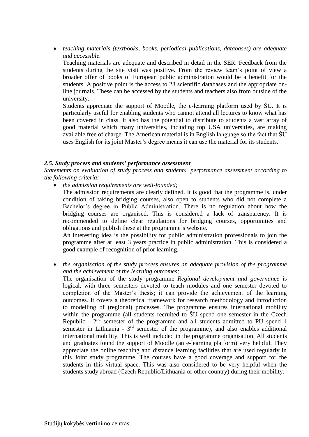*teaching materials (textbooks, books, periodical publications, databases) are adequate and accessible.*

Teaching materials are adequate and described in detail in the SER. Feedback from the students during the site visit was positive. From the review team's point of view a broader offer of books of European public administration would be a benefit for the students. A positive point is the access to 23 scientific databases and the appropriate online journals. These can be accessed by the students and teachers also from outside of the university.

Students appreciate the support of Moodle, the e-learning platform used by ŠU. It is particularly useful for enabling students who cannot attend all lectures to know what has been covered in class. It also has the potential to distribute to students a vast array of good material which many universities, including top USA universities, are making available free of charge. The American material is in English language so the fact that ŠU uses English for its joint Master's degree means it can use the material for its students.

#### <span id="page-10-0"></span>*2.5. Study process and students' performance assessment*

*Statements on evaluation of study process and students' performance assessment according to the following criteria:*

*the admission requirements are well-founded;*

The admission requirements are clearly defined. It is good that the programme is, under condition of taking bridging courses, also open to students who did not complete a Bachelor's degree in Public Administration. There is no regulation about how the bridging courses are organised. This is considered a lack of transparency. It is recommended to define clear regulations for bridging courses, opportunities and obligations and publish these at the programme's website.

An interesting idea is the possibility for public administration professionals to join the programme after at least 3 years practice in public administration. This is considered a good example of recognition of prior learning.

 *the organisation of the study process ensures an adequate provision of the programme and the achievement of the learning outcomes;*

The organisation of the study programme *Regional development and governance* is logical, with three semesters devoted to teach modules and one semester devoted to completion of the Master's thesis; it can provide the achievement of the learning outcomes. It covers a theoretical framework for research methodology and introduction to modelling of (regional) processes. The programme ensures international mobility within the programme (all students recruited to ŠU spend one semester in the Czech Republic  $-2<sup>nd</sup>$  semester of the programme and all students admitted to PU spend 1 semester in Lithuania -  $3<sup>rd</sup>$  semester of the programme), and also enables additional international mobility. This is well included in the programme organisation. All students and graduates found the support of Moodle (an e-learning platform) very helpful. They appreciate the online teaching and distance learning facilities that are used regularly in this Joint study programme. The courses have a good coverage and support for the students in this virtual space. This was also considered to be very helpful when the students study abroad (Czech Republic/Lithuania or other country) during their mobility.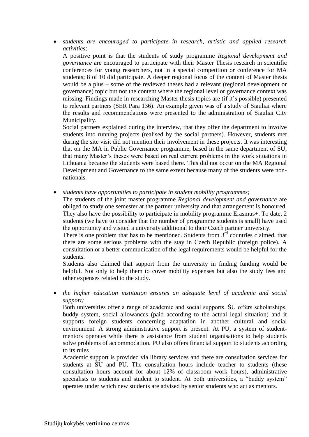*students are encouraged to participate in research, artistic and applied research activities;*

A positive point is that the students of study programme *Regional development and governance* are encouraged to participate with their Master Thesis research in scientific conferences for young researchers, not in a special competition or conference for MA students; 8 of 10 did participate. A deeper regional focus of the content of Master thesis would be a plus – some of the reviewed theses had a relevant (regional development or governance) topic but not the content where the regional level or governance context was missing. Findings made in researching Master thesis topics are (if it's possible) presented to relevant partners (SER Para 136). An example given was of a study of Siauliai where the results and recommendations were presented to the administration of Siauliai City Municipality.

Social partners explained during the interview, that they offer the department to involve students into running projects (realised by the social partners). However, students met during the site visit did not mention their involvement in these projects. It was interesting that on the MA in Public Governance programme, based in the same department of SU, that many Master's theses were based on real current problems in the work situations in Lithuania because the students were based there. This did not occur on the MA Regional Development and Governance to the same extent because many of the students were nonnationals.

*students have opportunities to participate in student mobility programmes;*

The students of the joint master programme *Regional development and governance* are obliged to study one semester at the partner university and that arrangement is honoured. They also have the possibility to participate in mobility programme Erasmus+. To date, 2 students (we have to consider that the number of programme students is small) have used the opportunity and visited a university additional to their Czech partner university.

There is one problem that has to be mentioned. Students from  $3<sup>rd</sup>$  countries claimed, that there are some serious problems with the stay in Czech Republic (foreign police). A consultation or a better communication of the legal requirements would be helpful for the students.

Students also claimed that support from the university in finding funding would be helpful. Not only to help them to cover mobility expenses but also the study fees and other expenses related to the study.

 *the higher education institution ensures an adequate level of academic and social support;*

Both universities offer a range of academic and social supports. ŠU offers scholarships, buddy system, social allowances (paid according to the actual legal situation) and it supports foreign students concerning adaptation in another cultural and social environment. A strong administrative support is present. At PU, a system of studentmentors operates while there is assistance from student organisations to help students solve problems of accommodation. PU also offers financial support to students according to its rules

Academic support is provided via library services and there are consultation services for students at ŠU and PU. The consultation hours include teacher to students (these consultation hours account for about 12% of classroom work hours), administrative specialists to students and student to student. At both universities, a "buddy system" operates under which new students are advised by senior students who act as mentors.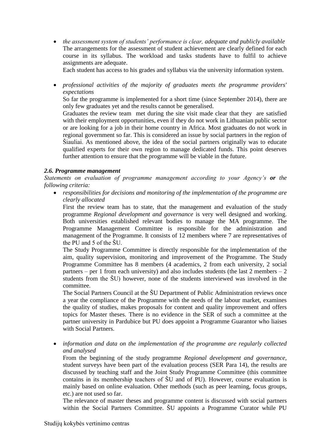*the assessment system of students' performance is clear, adequate and publicly available* The arrangements for the assessment of student achievement are clearly defined for each course in its syllabus. The workload and tasks students have to fulfil to achieve assignments are adequate.

Each student has access to his grades and syllabus via the university information system.

 *professional activities of the majority of graduates meets the programme providers' expectations*

So far the programme is implemented for a short time (since September 2014), there are only few graduates yet and the results cannot be generalised.

Graduates the review team met during the site visit made clear that they are satisfied with their employment opportunities, even if they do not work in Lithuanian public sector or are looking for a job in their home country in Africa. Most graduates do not work in regional government so far. This is considered an issue by social partners in the region of Šiauliai. As mentioned above, the idea of the social partners originally was to educate qualified experts for their own region to manage dedicated funds. This point deserves further attention to ensure that the programme will be viable in the future.

#### <span id="page-12-0"></span>*2.6. Programme management*

*Statements on evaluation of programme management according to your Agency's or the following criteria:*

 *responsibilities for decisions and monitoring of the implementation of the programme are clearly allocated*

First the review team has to state, that the management and evaluation of the study programme *Regional development and governance* is very well designed and working. Both universities established relevant bodies to manage the MA programme. The Programme Management Committee is responsible for the administration and management of the Programme. It consists of 12 members where 7 are representatives of the PU and 5 of the ŠU.

The Study Programme Committee is directly responsible for the implementation of the aim, quality supervision, monitoring and improvement of the Programme. The Study Programme Committee has 8 members (4 academics, 2 from each university, 2 social partners – per 1 from each university) and also includes students (the last 2 members – 2 students from the ŠU) however, none of the students interviewed was involved in the committee.

The Social Partners Council at the ŠU Department of Public Administration reviews once a year the compliance of the Programme with the needs of the labour market, examines the quality of studies, makes proposals for content and quality improvement and offers topics for Master theses. There is no evidence in the SER of such a committee at the partner university in Pardubice but PU does appoint a Programme Guarantor who liaises with Social Partners.

 *information and data on the implementation of the programme are regularly collected and analysed*

From the beginning of the study programme *Regional development and governance*, student surveys have been part of the evaluation process (SER Para 14), the results are discussed by teaching staff and the Joint Study Programme Committee (this committee contains in its membership teachers of ŠU and of PU). However, course evaluation is mainly based on online evaluation. Other methods (such as peer learning, focus groups, etc.) are not used so far.

The relevance of master theses and programme content is discussed with social partners within the Social Partners Committee. ŠU appoints a Programme Curator while PU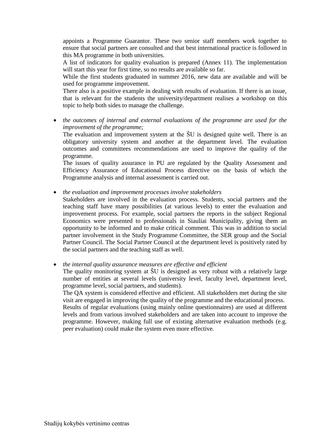appoints a Programme Guarantor. These two senior staff members work together to ensure that social partners are consulted and that best international practice is followed in this MA programme in both universities.

A list of indicators for quality evaluation is prepared (Annex 11). The implementation will start this year for first time, so no results are available so far.

While the first students graduated in summer 2016, new data are available and will be used for programme improvement.

There also is a positive example in dealing with results of evaluation. If there is an issue, that is relevant for the students the university/department realises a workshop on this topic to help both sides to manage the challenge.

 *the outcomes of internal and external evaluations of the programme are used for the improvement of the programme;*

The evaluation and improvement system at the ŠU is designed quite well. There is an obligatory university system and another at the department level. The evaluation outcomes and committees recommendations are used to improve the quality of the programme.

The issues of quality assurance in PU are regulated by the Quality Assessment and Efficiency Assurance of Educational Process directive on the basis of which the Programme analysis and internal assessment is carried out.

- *the evaluation and improvement processes involve stakeholders*
- Stakeholders are involved in the evaluation process. Students, social partners and the teaching staff have many possibilities (at various levels) to enter the evaluation and improvement process. For example, social partners the reports in the subject Regional Economics were presented to professionals in Siauliai Municipality, giving them an opportunity to be informed and to make critical comment. This was in addition to social partner involvement in the Study Programme Committee, the SER group and the Social Partner Council. The Social Partner Council at the department level is positively rated by the social partners and the teaching staff as well.

*the internal quality assurance measures are effective and efficient*

The quality monitoring system at ŠU is designed as very robust with a relatively large number of entities at several levels (university level, faculty level, department level, programme level, social partners, and students).

The QA system is considered effective and efficient. All stakeholders met during the site visit are engaged in improving the quality of the programme and the educational process. Results of regular evaluations (using mainly online questionnaires) are used at different levels and from various involved stakeholders and are taken into account to improve the programme. However, making full use of existing alternative evaluation methods (e.g. peer evaluation) could make the system even more effective.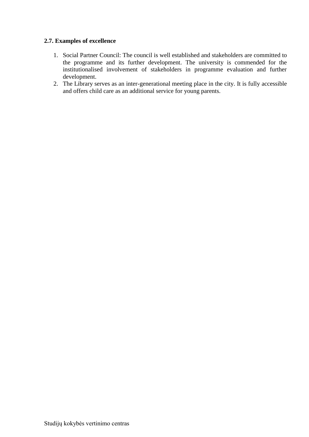## <span id="page-14-0"></span>**2.7. Examples of excellence**

- 1. Social Partner Council: The council is well established and stakeholders are committed to the programme and its further development. The university is commended for the institutionalised involvement of stakeholders in programme evaluation and further development.
- 2. The Library serves as an inter-generational meeting place in the city. It is fully accessible and offers child care as an additional service for young parents.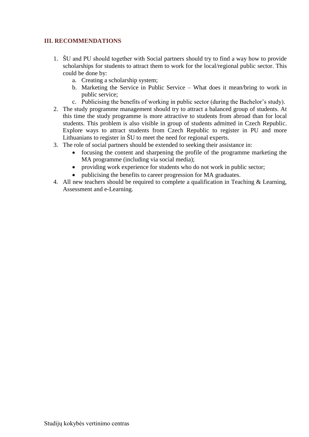# <span id="page-15-0"></span>**III. RECOMMENDATIONS**

- 1. ŠU and PU should together with Social partners should try to find a way how to provide scholarships for students to attract them to work for the local/regional public sector. This could be done by:
	- a. Creating a scholarship system;
	- b. Marketing the Service in Public Service What does it mean/bring to work in public service;
	- c. Publicising the benefits of working in public sector (during the Bachelor's study).
- 2. The study programme management should try to attract a balanced group of students. At this time the study programme is more attractive to students from abroad than for local students. This problem is also visible in group of students admitted in Czech Republic. Explore ways to attract students from Czech Republic to register in PU and more Lithuanians to register in ŠU to meet the need for regional experts.
- 3. The role of social partners should be extended to seeking their assistance in:
	- focusing the content and sharpening the profile of the programme marketing the MA programme (including via social media);
	- providing work experience for students who do not work in public sector;
	- publicising the benefits to career progression for MA graduates.
- 4. All new teachers should be required to complete a qualification in Teaching & Learning, Assessment and e-Learning.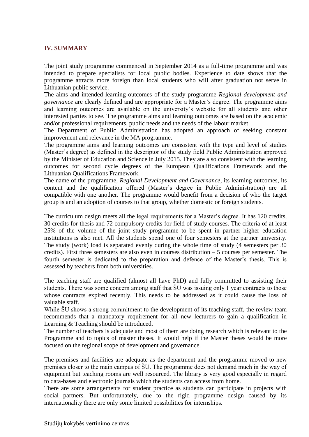#### <span id="page-16-0"></span>**IV. SUMMARY**

The joint study programme commenced in September 2014 as a full-time programme and was intended to prepare specialists for local public bodies. Experience to date shows that the programme attracts more foreign than local students who will after graduation not serve in Lithuanian public service.

The aims and intended learning outcomes of the study programme *Regional development and governance* are clearly defined and are appropriate for a Master's degree. The programme aims and learning outcomes are available on the university's website for all students and other interested parties to see. The programme aims and learning outcomes are based on the academic and/or professional requirements, public needs and the needs of the labour market.

The Department of Public Administration has adopted an approach of seeking constant improvement and relevance in the MA programme.

The programme aims and learning outcomes are consistent with the type and level of studies (Master's degree) as defined in the descriptor of the study field Public Administration approved by the Minister of Education and Science in July 2015. They are also consistent with the learning outcomes for second cycle degrees of the European Qualifications Framework and the Lithuanian Qualifications Framework.

The name of the programme, *Regional Development and Governance*, its learning outcomes, its content and the qualification offered (Master's degree in Public Administration) are all compatible with one another. The programme would benefit from a decision of who the target group is and an adoption of courses to that group, whether domestic or foreign students.

The curriculum design meets all the legal requirements for a Master's degree. It has 120 credits, 30 credits for thesis and 72 compulsory credits for field of study courses. The criteria of at least 25% of the volume of the joint study programme to be spent in partner higher education institutions is also met. All the students spend one of four semesters at the partner university. The study (work) load is separated evenly during the whole time of study (4 semesters per 30 credits). First three semesters are also even in courses distribution – 5 courses per semester. The fourth semester is dedicated to the preparation and defence of the Master's thesis. This is assessed by teachers from both universities.

The teaching staff are qualified (almost all have PhD) and fully committed to assisting their students. There was some concern among staff that ŠU was issuing only 1 year contracts to those whose contracts expired recently. This needs to be addressed as it could cause the loss of valuable staff.

While  $\text{SU}$  shows a strong commitment to the development of its teaching staff, the review team recommends that a mandatory requirement for all new lecturers to gain a qualification in Learning & Teaching should be introduced.

The number of teachers is adequate and most of them are doing research which is relevant to the Programme and to topics of master theses. It would help if the Master theses would be more focused on the regional scope of development and governance.

The premises and facilities are adequate as the department and the programme moved to new premises closer to the main campus of ŠU. The programme does not demand much in the way of equipment but teaching rooms are well resourced. The library is very good especially in regard to data-bases and electronic journals which the students can access from home.

There are some arrangements for student practice as students can participate in projects with social partners. But unfortunately, due to the rigid programme design caused by its internationality there are only some limited possibilities for internships.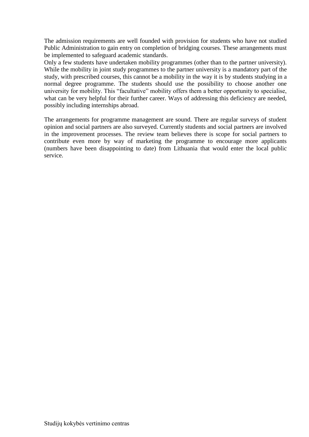The admission requirements are well founded with provision for students who have not studied Public Administration to gain entry on completion of bridging courses. These arrangements must be implemented to safeguard academic standards.

Only a few students have undertaken mobility programmes (other than to the partner university). While the mobility in joint study programmes to the partner university is a mandatory part of the study, with prescribed courses, this cannot be a mobility in the way it is by students studying in a normal degree programme. The students should use the possibility to choose another one university for mobility. This "facultative" mobility offers them a better opportunity to specialise, what can be very helpful for their further career. Ways of addressing this deficiency are needed, possibly including internships abroad.

The arrangements for programme management are sound. There are regular surveys of student opinion and social partners are also surveyed. Currently students and social partners are involved in the improvement processes. The review team believes there is scope for social partners to contribute even more by way of marketing the programme to encourage more applicants (numbers have been disappointing to date) from Lithuania that would enter the local public service.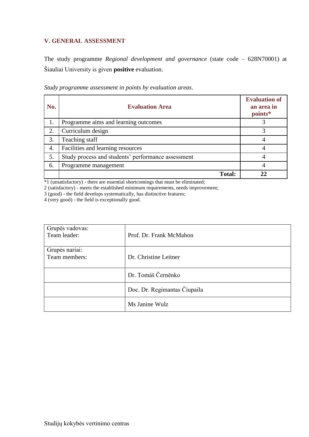# <span id="page-18-0"></span>**V. GENERAL ASSESSMENT**

The study programme *Regional development and governance* (state code – 628N70001) at Šiauliai University is given **positive** evaluation.

| No. | <b>Evaluation Area</b>                             | <b>Evaluation of</b><br>an area in<br>points* |
|-----|----------------------------------------------------|-----------------------------------------------|
| 1.  | Programme aims and learning outcomes               |                                               |
| 2.  | Curriculum design                                  |                                               |
| 3.  | Teaching staff                                     |                                               |
| 4.  | Facilities and learning resources                  |                                               |
| 5.  | Study process and students' performance assessment |                                               |
| 6.  | Programme management                               | 4                                             |
|     | <b>Total:</b>                                      |                                               |

*Study programme assessment in points by evaluation areas*.

\*1 (unsatisfactory) - there are essential shortcomings that must be eliminated;

2 (satisfactory) - meets the established minimum requirements, needs improvement;

3 (good) - the field develops systematically, has distinctive features;

4 (very good) - the field is exceptionally good.

| Grupės vadovas:<br>Team leader: | Prof. Dr. Frank McMahon      |
|---------------------------------|------------------------------|
| Grupės nariai:<br>Team members: | Dr. Christine Leitner        |
|                                 | Dr. Tomáš Černěnko           |
|                                 | Doc. Dr. Regimantas Čiupaila |
|                                 | Ms Janine Wulz               |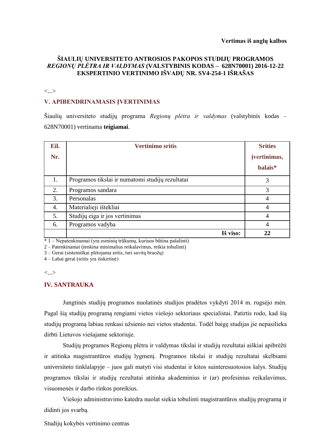### **ŠIAULIŲ UNIVERSITETO ANTROSIOS PAKOPOS STUDIJŲ PROGRAMOS**  *REGIONŲ PLĖTRA IR VALDYMAS* **(VALSTYBINIS KODAS – 628N70001) 2016-12-22 EKSPERTINIO VERTINIMO IŠVADŲ NR. SV4-254-1 IŠRAŠAS**

#### <...>

#### **V. APIBENDRINAMASIS ĮVERTINIMAS**

Šiaulių universiteto studijų programa *Regionų plėtra ir valdymas* (valstybinis kodas – 628N70001) vertinama **teigiamai**.

| Eil.             | <b>Vertinimo sritis</b>                          | <b>Srities</b> |
|------------------|--------------------------------------------------|----------------|
| Nr.              |                                                  | jvertinimas,   |
|                  |                                                  | balais*        |
| 1.               | Programos tikslai ir numatomi studijų rezultatai | 3              |
| 2.               | Programos sandara                                | 3              |
| 3.               | Personalas                                       |                |
| $\overline{4}$ . | Materialieji ištekliai                           | 4              |
| 5.               | Studijų eiga ir jos vertinimas                   | $\overline{4}$ |
| 6.               | Programos vadyba                                 | $\overline{4}$ |
|                  | Iš viso:                                         | 22             |

\* 1 – Nepatenkinamai (yra esminių trūkumų, kuriuos būtina pašalinti)

2 – Patenkinamai (tenkina minimalius reikalavimus, reikia tobulinti)

3 – Gerai (sistemiškai plėtojama sritis, turi savitų bruožų)

4 – Labai gerai (sritis yra išskirtinė)

#### <...>

#### **IV. SANTRAUKA**

Jungtinės studijų programos nuolatinės studijos pradėtos vykdyti 2014 m. rugsėjo mėn. Pagal šią studijų programą rengiami vietos viešojo sektoriaus specialistai. Patirtis rodo, kad šią studijų programą labiau renkasi užsienio nei vietos studentai. Todėl baigę studijas jie nepasilieka dirbti Lietuvos viešajame sektoriuje.

Studijų programos Regionų plėtra ir valdymas tikslai ir studijų rezultatai aiškiai apibrėžti ir atitinka magistrantūros studijų lygmenį. Programos tikslai ir studijų rezultatai skelbiami universiteto tinklalapyje – juos gali matyti visi studentai ir kitos suinteresuotosios šalys. Studijų programos tikslai ir studijų rezultatai atitinka akademinius ir (ar) profesinius reikalavimus, visuomenės ir darbo rinkos poreikius.

Viešojo administravimo katedra nuolat siekia tobulinti magistrantūros studijų programą ir didinti jos svarbą.

Studijų kokybės vertinimo centras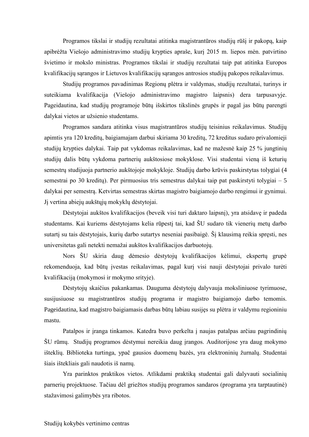Programos tikslai ir studijų rezultatai atitinka magistrantūros studijų rūšį ir pakopą, kaip apibrėžta Viešojo administravimo studijų krypties apraše, kurį 2015 m. liepos mėn. patvirtino švietimo ir mokslo ministras. Programos tikslai ir studijų rezultatai taip pat atitinka Europos kvalifikacijų sąrangos ir Lietuvos kvalifikacijų sąrangos antrosios studijų pakopos reikalavimus.

Studijų programos pavadinimas Regionų plėtra ir valdymas, studijų rezultatai, turinys ir suteikiama kvalifikacija (Viešojo administravimo magistro laipsnis) dera tarpusavyje. Pageidautina, kad studijų programoje būtų išskirtos tikslinės grupės ir pagal jas būtų parengti dalykai vietos ar užsienio studentams.

Programos sandara atitinka visus magistrantūros studijų teisinius reikalavimus. Studijų apimtis yra 120 kreditų, baigiamajam darbui skiriama 30 kreditų, 72 kreditus sudaro privalomieji studijų krypties dalykai. Taip pat vykdomas reikalavimas, kad ne mažesnė kaip 25 % jungtinių studijų dalis būtų vykdoma partnerių aukštosiose mokyklose. Visi studentai vieną iš keturių semestrų studijuoja partnerio aukštojoje mokykloje. Studijų darbo krūvis paskirstytas tolygiai (4 semestrai po 30 kreditų). Per pirmuosius tris semestrus dalykai taip pat paskirstyti tolygiai – 5 dalykai per semestrą. Ketvirtas semestras skirtas magistro baigiamojo darbo rengimui ir gynimui. Jį vertina abiejų aukštųjų mokyklų dėstytojai.

Dėstytojai aukštos kvalifikacijos (beveik visi turi daktaro laipsnį), yra atsidavę ir padeda studentams. Kai kuriems dėstytojams kelia rūpestį tai, kad ŠU sudaro tik vienerių metų darbo sutartį su tais dėstytojais, kurių darbo sutartys neseniai pasibaigė. Šį klausimą reikia spręsti, nes universitetas gali netekti nemažai aukštos kvalifikacijos darbuotojų.

Nors ŠU skiria daug dėmesio dėstytojų kvalifikacijos kėlimui, ekspertų grupė rekomenduoja, kad būtų įvestas reikalavimas, pagal kurį visi nauji dėstytojai privalo turėti kvalifikaciją (mokymosi ir mokymo srityje).

Dėstytojų skaičius pakankamas. Dauguma dėstytojų dalyvauja moksliniuose tyrimuose, susijusiuose su magistrantūros studijų programa ir magistro baigiamojo darbo temomis. Pageidautina, kad magistro baigiamasis darbas būtų labiau susijęs su plėtra ir valdymu regioniniu mastu.

Patalpos ir įranga tinkamos. Katedra buvo perkelta į naujas patalpas arčiau pagrindinių ŠU rūmų. Studijų programos dėstymui nereikia daug įrangos. Auditorijose yra daug mokymo išteklių. Biblioteka turtinga, ypač gausios duomenų bazės, yra elektroninių žurnalų. Studentai šiais ištekliais gali naudotis iš namų.

Yra parinktos praktikos vietos. Atlikdami praktiką studentai gali dalyvauti socialinių parnerių projektuose. Tačiau dėl griežtos studijų programos sandaros (programa yra tarptautinė) stažavimosi galimybės yra ribotos.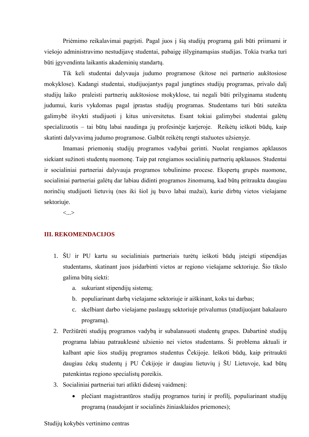Priėmimo reikalavimai pagrįsti. Pagal juos į šią studijų programą gali būti priimami ir viešojo administravimo nestudijavę studentai, pabaigę išlyginamąsias studijas. Tokia tvarka turi būti įgyvendinta laikantis akademinių standartų.

Tik keli studentai dalyvauja judumo programose (kitose nei partnerio aukštosiose mokyklose). Kadangi studentai, studijuojantys pagal jungtines studijų programas, privalo dalį studijų laiko praleisti partnerių aukštosiose mokyklose, tai negali būti prilyginama studentų judumui, kuris vykdomas pagal įprastas studijų programas. Studentams turi būti suteikta galimybė išvykti studijuoti į kitus universitetus. Esant tokiai galimybei studentai galėtų specializuotis – tai būtų labai naudinga jų profesinėje karjeroje. Reikėtų ieškoti būdų, kaip skatinti dalyvavimą judumo programose. Galbūt reikėtų rengti stažuotes užsienyje.

Imamasi priemonių studijų programos vadybai gerinti. Nuolat rengiamos apklausos siekiant sužinoti studentų nuomonę. Taip pat rengiamos socialinių partnerių apklausos. Studentai ir socialiniai partneriai dalyvauja programos tobulinimo procese. Ekspertų grupės nuomone, socialiniai partneriai galėtų dar labiau didinti programos žinomumą, kad būtų pritraukta daugiau norinčių studijuoti lietuvių (nes iki šiol jų buvo labai mažai), kurie dirbtų vietos viešajame sektoriuje.

<...>

#### **III. REKOMENDACIJOS**

- 1. ŠU ir PU kartu su socialiniais partneriais turėtų ieškoti būdų įsteigti stipendijas studentams, skatinant juos įsidarbinti vietos ar regiono viešajame sektoriuje. Šio tikslo galima būtų siekti:
	- a. sukuriant stipendijų sistemą;
	- b. populiarinant darbą viešajame sektoriuje ir aiškinant, koks tai darbas;
	- c. skelbiant darbo viešajame paslaugų sektoriuje privalumus (studijuojant bakalauro programą).
- 2. Peržiūrėti studijų programos vadybą ir subalansuoti studentų grupes. Dabartinė studijų programa labiau patrauklesnė užsienio nei vietos studentams. Ši problema aktuali ir kalbant apie šios studijų programos studentus Čekijoje. Ieškoti būdų, kaip pritraukti daugiau čekų studentų į PU Čekijoje ir daugiau lietuvių į ŠU Lietuvoje, kad būtų patenkintas regiono specialistų poreikis.
- 3. Socialiniai partneriai turi atlikti didesnį vaidmenį:
	- plečiant magistrantūros studijų programos turinį ir profilį, populiarinant studijų programą (naudojant ir socialinės žiniasklaidos priemones);